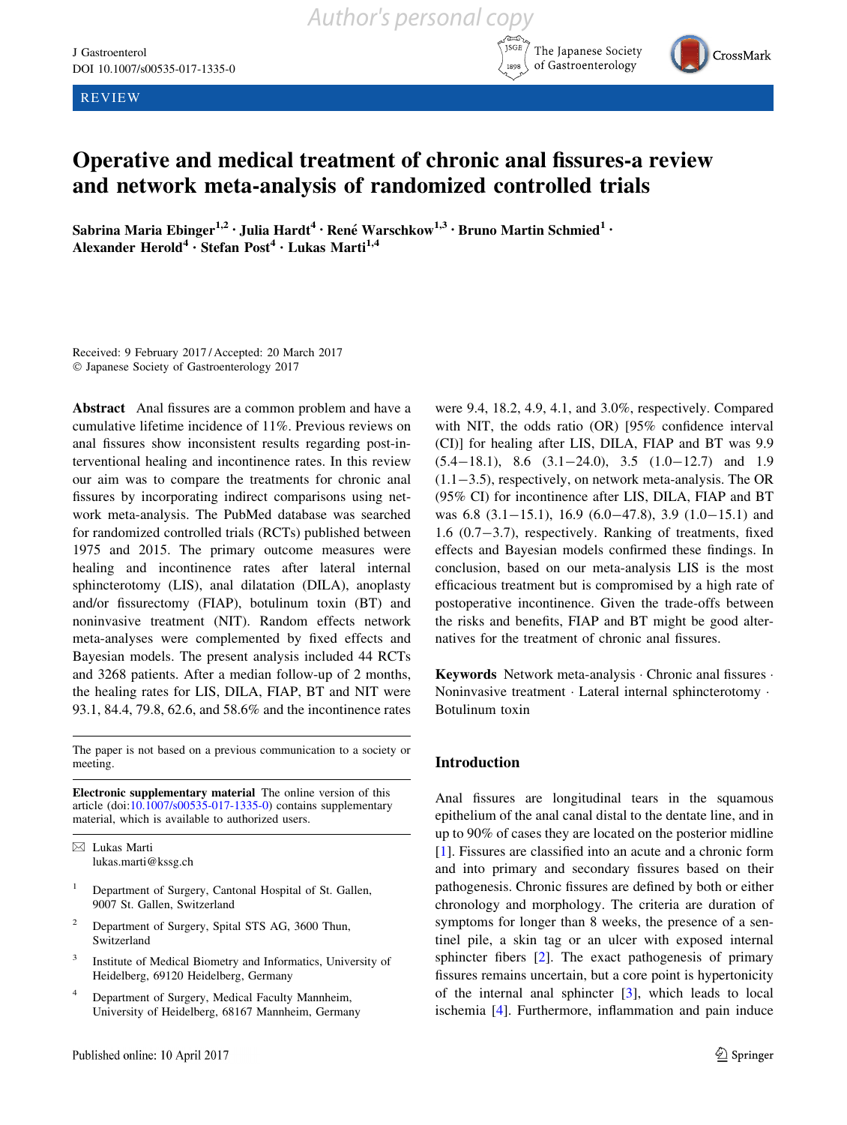REVIEW



# Operative and medical treatment of chronic anal fissures-a review and network meta-analysis of randomized controlled trials

Sabrina Maria Ebinger<sup>1,2</sup> • Julia Hardt<sup>4</sup> • René Warschkow<sup>1,3</sup> • Bruno Martin Schmied<sup>1</sup> • Alexander Herold<sup>4</sup> • Stefan Post<sup>4</sup> • Lukas Marti<sup>1,4</sup>

Received: 9 February 2017 / Accepted: 20 March 2017 - Japanese Society of Gastroenterology 2017

Abstract Anal fissures are a common problem and have a cumulative lifetime incidence of 11%. Previous reviews on anal fissures show inconsistent results regarding post-interventional healing and incontinence rates. In this review our aim was to compare the treatments for chronic anal fissures by incorporating indirect comparisons using network meta-analysis. The PubMed database was searched for randomized controlled trials (RCTs) published between 1975 and 2015. The primary outcome measures were healing and incontinence rates after lateral internal sphincterotomy (LIS), anal dilatation (DILA), anoplasty and/or fissurectomy (FIAP), botulinum toxin (BT) and noninvasive treatment (NIT). Random effects network meta-analyses were complemented by fixed effects and Bayesian models. The present analysis included 44 RCTs and 3268 patients. After a median follow-up of 2 months, the healing rates for LIS, DILA, FIAP, BT and NIT were 93.1, 84.4, 79.8, 62.6, and 58.6% and the incontinence rates

The paper is not based on a previous communication to a society or meeting.

Electronic supplementary material The online version of this article (doi:[10.1007/s00535-017-1335-0\)](http://dx.doi.org/10.1007/s00535-017-1335-0) contains supplementary material, which is available to authorized users.

 $\boxtimes$  Lukas Marti lukas.marti@kssg.ch

- <sup>1</sup> Department of Surgery, Cantonal Hospital of St. Gallen, 9007 St. Gallen, Switzerland
- <sup>2</sup> Department of Surgery, Spital STS AG, 3600 Thun, Switzerland
- Institute of Medical Biometry and Informatics, University of Heidelberg, 69120 Heidelberg, Germany
- Department of Surgery, Medical Faculty Mannheim, University of Heidelberg, 68167 Mannheim, Germany

were 9.4, 18.2, 4.9, 4.1, and 3.0%, respectively. Compared with NIT, the odds ratio (OR) [95% confidence interval (CI)] for healing after LIS, DILA, FIAP and BT was 9.9  $(5.4-18.1)$ , 8.6  $(3.1-24.0)$ , 3.5  $(1.0-12.7)$  and 1.9  $(1.1-3.5)$ , respectively, on network meta-analysis. The OR (95% CI) for incontinence after LIS, DILA, FIAP and BT was  $6.8$   $(3.1-15.1)$ ,  $16.9$   $(6.0-47.8)$ ,  $3.9$   $(1.0-15.1)$  and 1.6 (0.7-3.7), respectively. Ranking of treatments, fixed effects and Bayesian models confirmed these findings. In conclusion, based on our meta-analysis LIS is the most efficacious treatment but is compromised by a high rate of postoperative incontinence. Given the trade-offs between the risks and benefits, FIAP and BT might be good alternatives for the treatment of chronic anal fissures.

Keywords Network meta-analysis - Chronic anal fissures - Noninvasive treatment - Lateral internal sphincterotomy - Botulinum toxin

# Introduction

Anal fissures are longitudinal tears in the squamous epithelium of the anal canal distal to the dentate line, and in up to 90% of cases they are located on the posterior midline [\[1](#page-11-0)]. Fissures are classified into an acute and a chronic form and into primary and secondary fissures based on their pathogenesis. Chronic fissures are defined by both or either chronology and morphology. The criteria are duration of symptoms for longer than 8 weeks, the presence of a sentinel pile, a skin tag or an ulcer with exposed internal sphincter fibers [[2\]](#page-11-0). The exact pathogenesis of primary fissures remains uncertain, but a core point is hypertonicity of the internal anal sphincter [\[3](#page-11-0)], which leads to local ischemia [\[4](#page-11-0)]. Furthermore, inflammation and pain induce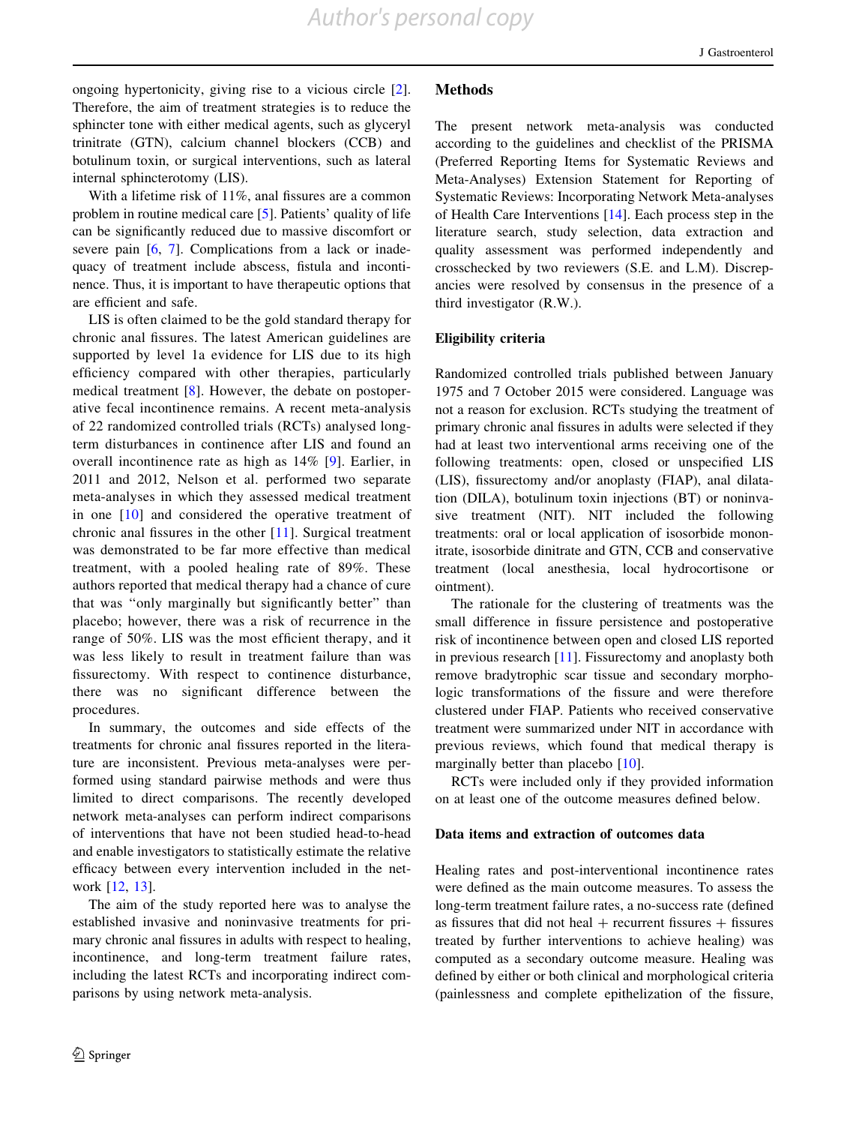ongoing hypertonicity, giving rise to a vicious circle [\[2](#page-11-0)]. Therefore, the aim of treatment strategies is to reduce the sphincter tone with either medical agents, such as glyceryl trinitrate (GTN), calcium channel blockers (CCB) and botulinum toxin, or surgical interventions, such as lateral internal sphincterotomy (LIS).

With a lifetime risk of 11%, anal fissures are a common problem in routine medical care [\[5](#page-11-0)]. Patients' quality of life can be significantly reduced due to massive discomfort or severe pain [\[6](#page-11-0), [7](#page-11-0)]. Complications from a lack or inadequacy of treatment include abscess, fistula and incontinence. Thus, it is important to have therapeutic options that are efficient and safe.

LIS is often claimed to be the gold standard therapy for chronic anal fissures. The latest American guidelines are supported by level 1a evidence for LIS due to its high efficiency compared with other therapies, particularly medical treatment [[8\]](#page-11-0). However, the debate on postoperative fecal incontinence remains. A recent meta-analysis of 22 randomized controlled trials (RCTs) analysed longterm disturbances in continence after LIS and found an overall incontinence rate as high as 14% [[9\]](#page-11-0). Earlier, in 2011 and 2012, Nelson et al. performed two separate meta-analyses in which they assessed medical treatment in one [\[10\]](#page-11-0) and considered the operative treatment of chronic anal fissures in the other [[11\]](#page-11-0). Surgical treatment was demonstrated to be far more effective than medical treatment, with a pooled healing rate of 89%. These authors reported that medical therapy had a chance of cure that was ''only marginally but significantly better'' than placebo; however, there was a risk of recurrence in the range of 50%. LIS was the most efficient therapy, and it was less likely to result in treatment failure than was fissurectomy. With respect to continence disturbance, there was no significant difference between the procedures.

In summary, the outcomes and side effects of the treatments for chronic anal fissures reported in the literature are inconsistent. Previous meta-analyses were performed using standard pairwise methods and were thus limited to direct comparisons. The recently developed network meta-analyses can perform indirect comparisons of interventions that have not been studied head-to-head and enable investigators to statistically estimate the relative efficacy between every intervention included in the network [\[12](#page-11-0), [13\]](#page-11-0).

The aim of the study reported here was to analyse the established invasive and noninvasive treatments for primary chronic anal fissures in adults with respect to healing, incontinence, and long-term treatment failure rates, including the latest RCTs and incorporating indirect comparisons by using network meta-analysis.

#### Methods

The present network meta-analysis was conducted according to the guidelines and checklist of the PRISMA (Preferred Reporting Items for Systematic Reviews and Meta-Analyses) Extension Statement for Reporting of Systematic Reviews: Incorporating Network Meta-analyses of Health Care Interventions [[14\]](#page-11-0). Each process step in the literature search, study selection, data extraction and quality assessment was performed independently and crosschecked by two reviewers (S.E. and L.M). Discrepancies were resolved by consensus in the presence of a third investigator (R.W.).

#### Eligibility criteria

Randomized controlled trials published between January 1975 and 7 October 2015 were considered. Language was not a reason for exclusion. RCTs studying the treatment of primary chronic anal fissures in adults were selected if they had at least two interventional arms receiving one of the following treatments: open, closed or unspecified LIS (LIS), fissurectomy and/or anoplasty (FIAP), anal dilatation (DILA), botulinum toxin injections (BT) or noninvasive treatment (NIT). NIT included the following treatments: oral or local application of isosorbide mononitrate, isosorbide dinitrate and GTN, CCB and conservative treatment (local anesthesia, local hydrocortisone or ointment).

The rationale for the clustering of treatments was the small difference in fissure persistence and postoperative risk of incontinence between open and closed LIS reported in previous research [\[11](#page-11-0)]. Fissurectomy and anoplasty both remove bradytrophic scar tissue and secondary morphologic transformations of the fissure and were therefore clustered under FIAP. Patients who received conservative treatment were summarized under NIT in accordance with previous reviews, which found that medical therapy is marginally better than placebo [[10\]](#page-11-0).

RCTs were included only if they provided information on at least one of the outcome measures defined below.

#### Data items and extraction of outcomes data

Healing rates and post-interventional incontinence rates were defined as the main outcome measures. To assess the long-term treatment failure rates, a no-success rate (defined as fissures that did not heal  $+$  recurrent fissures  $+$  fissures treated by further interventions to achieve healing) was computed as a secondary outcome measure. Healing was defined by either or both clinical and morphological criteria (painlessness and complete epithelization of the fissure,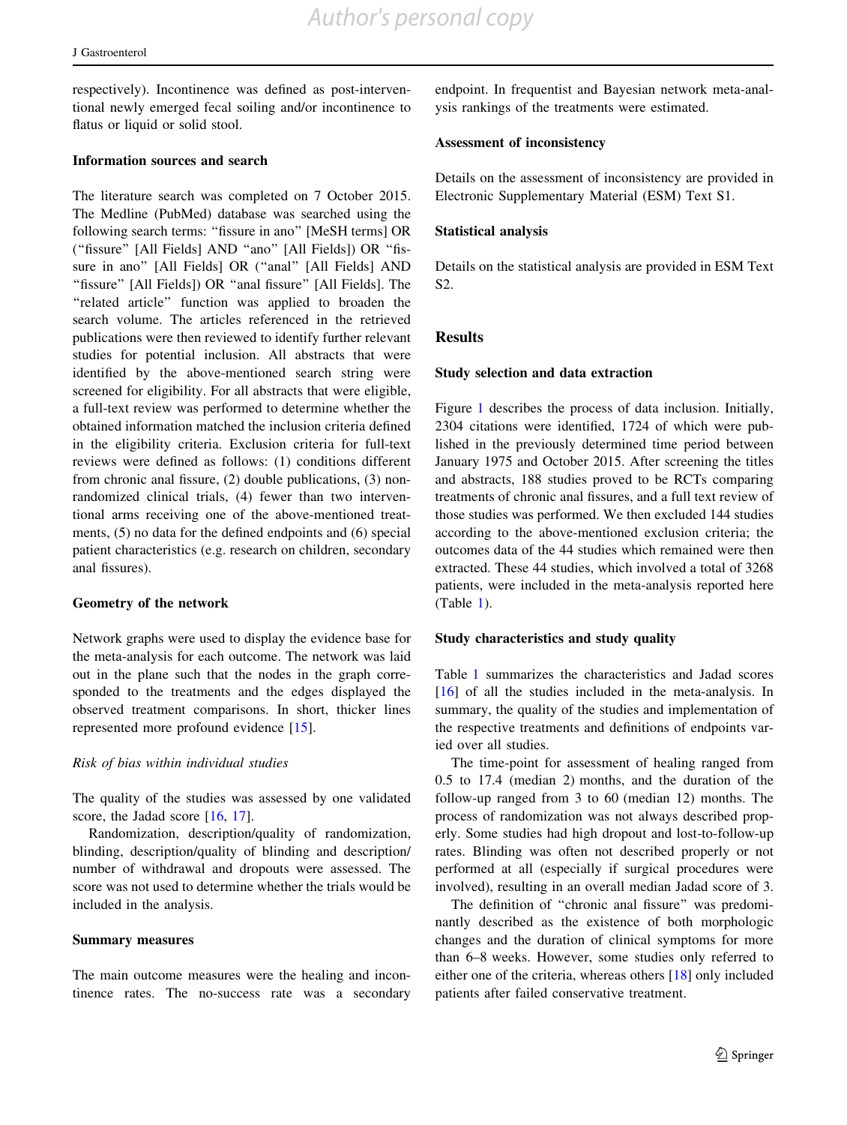respectively). Incontinence was defined as post-interventional newly emerged fecal soiling and/or incontinence to flatus or liquid or solid stool.

### Information sources and search

The literature search was completed on 7 October 2015. The Medline (PubMed) database was searched using the following search terms: "fissure in ano" [MeSH terms] OR (''fissure'' [All Fields] AND ''ano'' [All Fields]) OR ''fissure in ano'' [All Fields] OR (''anal'' [All Fields] AND "fissure" [All Fields]) OR "anal fissure" [All Fields]. The "related article" function was applied to broaden the search volume. The articles referenced in the retrieved publications were then reviewed to identify further relevant studies for potential inclusion. All abstracts that were identified by the above-mentioned search string were screened for eligibility. For all abstracts that were eligible, a full-text review was performed to determine whether the obtained information matched the inclusion criteria defined in the eligibility criteria. Exclusion criteria for full-text reviews were defined as follows: (1) conditions different from chronic anal fissure, (2) double publications, (3) nonrandomized clinical trials, (4) fewer than two interventional arms receiving one of the above-mentioned treatments, (5) no data for the defined endpoints and (6) special patient characteristics (e.g. research on children, secondary anal fissures).

#### Geometry of the network

Network graphs were used to display the evidence base for the meta-analysis for each outcome. The network was laid out in the plane such that the nodes in the graph corresponded to the treatments and the edges displayed the observed treatment comparisons. In short, thicker lines represented more profound evidence [[15\]](#page-11-0).

# Risk of bias within individual studies

The quality of the studies was assessed by one validated score, the Jadad score [\[16](#page-11-0), [17](#page-11-0)].

Randomization, description/quality of randomization, blinding, description/quality of blinding and description/ number of withdrawal and dropouts were assessed. The score was not used to determine whether the trials would be included in the analysis.

#### Summary measures

The main outcome measures were the healing and incontinence rates. The no-success rate was a secondary

endpoint. In frequentist and Bayesian network meta-analysis rankings of the treatments were estimated.

#### Assessment of inconsistency

Details on the assessment of inconsistency are provided in Electronic Supplementary Material (ESM) Text S1.

#### Statistical analysis

Details on the statistical analysis are provided in ESM Text S2.

### Results

#### Study selection and data extraction

Figure [1](#page-3-0) describes the process of data inclusion. Initially, 2304 citations were identified, 1724 of which were published in the previously determined time period between January 1975 and October 2015. After screening the titles and abstracts, 188 studies proved to be RCTs comparing treatments of chronic anal fissures, and a full text review of those studies was performed. We then excluded 144 studies according to the above-mentioned exclusion criteria; the outcomes data of the 44 studies which remained were then extracted. These 44 studies, which involved a total of 3268 patients, were included in the meta-analysis reported here (Table [1\)](#page-4-0).

# Study characteristics and study quality

Table [1](#page-4-0) summarizes the characteristics and Jadad scores [\[16](#page-11-0)] of all the studies included in the meta-analysis. In summary, the quality of the studies and implementation of the respective treatments and definitions of endpoints varied over all studies.

The time-point for assessment of healing ranged from 0.5 to 17.4 (median 2) months, and the duration of the follow-up ranged from 3 to 60 (median 12) months. The process of randomization was not always described properly. Some studies had high dropout and lost-to-follow-up rates. Blinding was often not described properly or not performed at all (especially if surgical procedures were involved), resulting in an overall median Jadad score of 3.

The definition of ''chronic anal fissure'' was predominantly described as the existence of both morphologic changes and the duration of clinical symptoms for more than 6–8 weeks. However, some studies only referred to either one of the criteria, whereas others [\[18](#page-11-0)] only included patients after failed conservative treatment.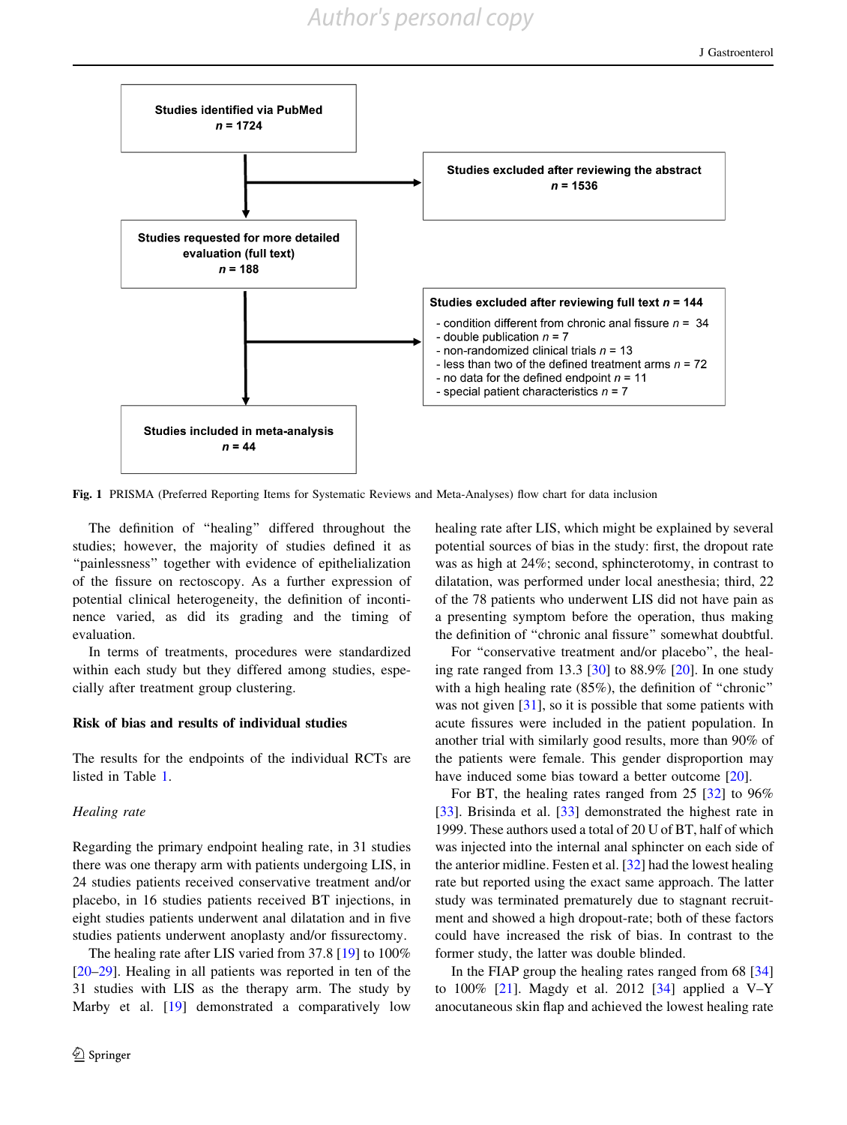<span id="page-3-0"></span>

Fig. 1 PRISMA (Preferred Reporting Items for Systematic Reviews and Meta-Analyses) flow chart for data inclusion

The definition of ''healing'' differed throughout the studies; however, the majority of studies defined it as "painlessness" together with evidence of epithelialization of the fissure on rectoscopy. As a further expression of potential clinical heterogeneity, the definition of incontinence varied, as did its grading and the timing of evaluation.

In terms of treatments, procedures were standardized within each study but they differed among studies, especially after treatment group clustering.

### Risk of bias and results of individual studies

The results for the endpoints of the individual RCTs are listed in Table [1](#page-4-0).

#### Healing rate

Regarding the primary endpoint healing rate, in 31 studies there was one therapy arm with patients undergoing LIS, in 24 studies patients received conservative treatment and/or placebo, in 16 studies patients received BT injections, in eight studies patients underwent anal dilatation and in five studies patients underwent anoplasty and/or fissurectomy.

The healing rate after LIS varied from 37.8 [\[19](#page-11-0)] to 100% [\[20](#page-11-0)[–29](#page-12-0)]. Healing in all patients was reported in ten of the 31 studies with LIS as the therapy arm. The study by Marby et al. [\[19](#page-11-0)] demonstrated a comparatively low healing rate after LIS, which might be explained by several potential sources of bias in the study: first, the dropout rate was as high at 24%; second, sphincterotomy, in contrast to dilatation, was performed under local anesthesia; third, 22 of the 78 patients who underwent LIS did not have pain as a presenting symptom before the operation, thus making the definition of ''chronic anal fissure'' somewhat doubtful.

For "conservative treatment and/or placebo", the healing rate ranged from 13.3  $\left[30\right]$  $\left[30\right]$  $\left[30\right]$  to 88.9%  $\left[20\right]$  $\left[20\right]$  $\left[20\right]$ . In one study with a high healing rate (85%), the definition of "chronic" was not given [\[31](#page-12-0)], so it is possible that some patients with acute fissures were included in the patient population. In another trial with similarly good results, more than 90% of the patients were female. This gender disproportion may have induced some bias toward a better outcome [[20\]](#page-11-0).

For BT, the healing rates ranged from 25 [\[32](#page-12-0)] to 96% [\[33](#page-12-0)]. Brisinda et al. [33] demonstrated the highest rate in 1999. These authors used a total of 20 U of BT, half of which was injected into the internal anal sphincter on each side of the anterior midline. Festen et al. [[32\]](#page-12-0) had the lowest healing rate but reported using the exact same approach. The latter study was terminated prematurely due to stagnant recruitment and showed a high dropout-rate; both of these factors could have increased the risk of bias. In contrast to the former study, the latter was double blinded.

In the FIAP group the healing rates ranged from 68 [[34\]](#page-12-0) to  $100\%$  [\[21](#page-11-0)]. Magdy et al. 2012 [[34\]](#page-12-0) applied a V–Y anocutaneous skin flap and achieved the lowest healing rate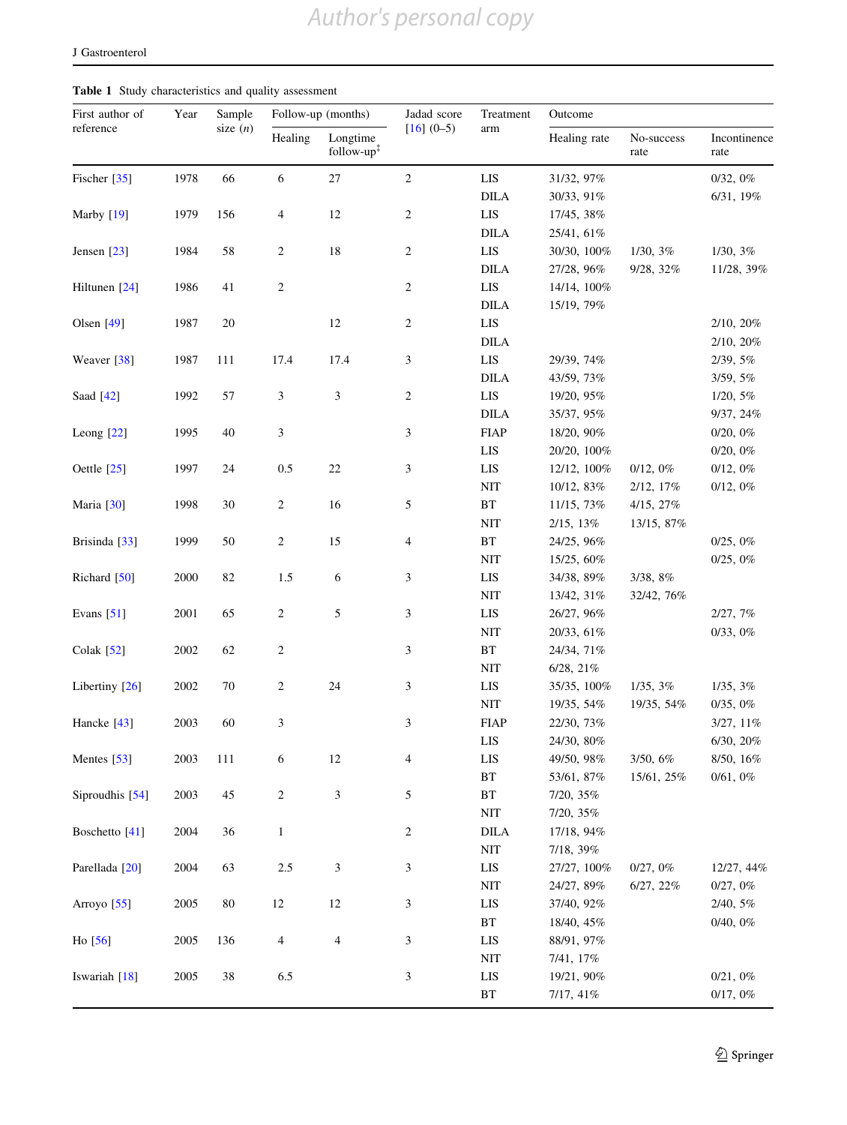# <span id="page-4-0"></span>Table 1 Study characteristics and quality assessment

| First author of<br>reference | Year | Sample<br>size $(n)$ | Follow-up (months) |                                     | Jadad score             | Treatment           | Outcome      |                    |                      |
|------------------------------|------|----------------------|--------------------|-------------------------------------|-------------------------|---------------------|--------------|--------------------|----------------------|
|                              |      |                      | Healing            | Longtime<br>follow- $up^{\ddagger}$ | $[16] (0-5)$            | arm                 | Healing rate | No-success<br>rate | Incontinence<br>rate |
| Fischer [35]                 | 1978 | 66                   | 6                  | $27\,$                              | $\sqrt{2}$              | LIS                 | 31/32, 97%   |                    | 0/32, 0%             |
|                              |      |                      |                    |                                     |                         | <b>DILA</b>         | 30/33, 91%   |                    | 6/31, 19%            |
| Marby [19]                   | 1979 | 156                  | $\overline{4}$     | 12                                  | $\overline{\mathbf{c}}$ | LIS                 | 17/45, 38%   |                    |                      |
|                              |      |                      |                    |                                     |                         | <b>DILA</b>         | 25/41, 61%   |                    |                      |
| Jensen $[23]$                | 1984 | 58                   | 2                  | 18                                  | $\overline{c}$          | LIS                 | 30/30, 100%  | 1/30, 3%           | 1/30, 3%             |
|                              |      |                      |                    |                                     |                         | <b>DILA</b>         | 27/28, 96%   | 9/28, 32%          | 11/28, 39%           |
| Hiltunen [24]                | 1986 | 41                   | $\boldsymbol{2}$   |                                     | $\overline{c}$          | LIS                 | 14/14, 100%  |                    |                      |
|                              |      |                      |                    |                                     |                         | <b>DILA</b>         | 15/19, 79%   |                    |                      |
| Olsen $[49]$                 | 1987 | $20\,$               |                    | $12\,$                              | $\overline{\mathbf{c}}$ | LIS                 |              |                    | $2/10$ , $20%$       |
|                              |      |                      |                    |                                     |                         | <b>DILA</b>         |              |                    | 2/10, 20%            |
| Weaver [38]                  | 1987 | 111                  | 17.4               | 17.4                                | 3                       | LIS                 | 29/39, 74%   |                    | 2/39, 5%             |
|                              |      |                      |                    |                                     |                         | <b>DILA</b>         | 43/59, 73%   |                    | 3/59, 5%             |
| Saad [42]                    | 1992 | 57                   | 3                  | 3                                   | $\overline{c}$          | LIS                 | 19/20, 95%   |                    | 1/20, 5%             |
|                              |      |                      |                    |                                     |                         | <b>DILA</b>         | 35/37, 95%   |                    | 9/37, 24%            |
| Leong $[22]$                 | 1995 | 40                   | $\mathfrak{Z}$     |                                     | 3                       | <b>FIAP</b>         | 18/20, 90%   |                    | $0/20, 0\%$          |
|                              |      |                      |                    |                                     |                         | LIS                 | 20/20, 100%  |                    | $0/20, 0\%$          |
| Oettle $[25]$                | 1997 | 24                   | 0.5                | 22                                  | 3                       | LIS                 | 12/12, 100%  | 0/12, 0%           | 0/12, 0%             |
|                              |      |                      |                    |                                     |                         | <b>NIT</b>          | 10/12, 83%   | 2/12, 17%          | 0/12, 0%             |
| Maria [30]                   | 1998 | 30                   | $\overline{c}$     | 16                                  | 5                       | BT                  | 11/15, 73%   | 4/15, 27%          |                      |
|                              |      |                      |                    |                                     |                         | <b>NIT</b>          | 2/15, 13%    | 13/15, 87%         |                      |
| Brisinda [33]                | 1999 | 50                   | $\overline{c}$     | 15                                  | 4                       | BT                  | 24/25, 96%   |                    | 0/25, 0%             |
|                              |      |                      |                    |                                     |                         | <b>NIT</b>          | 15/25, 60%   |                    | 0/25, 0%             |
| Richard [50]                 | 2000 | $82\,$               | 1.5                | 6                                   | 3                       | LIS                 | 34/38, 89%   | 3/38, 8%           |                      |
|                              |      |                      |                    |                                     |                         | <b>NIT</b>          | 13/42, 31%   | 32/42, 76%         |                      |
| Evans $[51]$                 | 2001 | 65                   | 2                  | 5                                   | 3                       | LIS                 | 26/27, 96%   |                    | 2/27, 7%             |
|                              |      |                      |                    |                                     |                         | <b>NIT</b>          | 20/33, 61%   |                    | 0/33, 0%             |
| Colak $[52]$                 | 2002 | 62                   | $\overline{c}$     |                                     | 3                       | BT                  | 24/34, 71%   |                    |                      |
|                              |      |                      |                    |                                     |                         | <b>NIT</b>          | 6/28, 21%    |                    |                      |
| Libertiny $[26]$             | 2002 | $70\,$               | $\sqrt{2}$         | 24                                  | 3                       | LIS                 | 35/35, 100%  | 1/35, 3%           | 1/35, 3%             |
|                              |      |                      |                    |                                     |                         | <b>NIT</b>          | 19/35, 54%   | 19/35, 54%         | 0/35, 0%             |
| Hancke [43]                  | 2003 | 60                   | 3                  |                                     | 3                       | <b>FIAP</b>         | 22/30, 73%   |                    | 3/27, 11%            |
|                              |      |                      |                    |                                     |                         | ${\rm LIS}$         | 24/30, 80%   |                    | 6/30, 20%            |
| Mentes $[53]$                | 2003 | 111                  | 6                  | $12\,$                              | 4                       | LIS                 | 49/50, 98%   | 3/50, 6%           | 8/50, 16%            |
|                              |      |                      |                    |                                     |                         | $\operatorname{BT}$ | 53/61, 87%   | 15/61, 25%         | 0/61, 0%             |
| Siproudhis [54]              | 2003 | 45                   | $\overline{c}$     | 3                                   | 5                       | BT                  | 7/20, 35%    |                    |                      |
|                              |      |                      |                    |                                     |                         | <b>NIT</b>          | 7/20, 35%    |                    |                      |
| Boschetto [41]               | 2004 | 36                   | $\mathbf{1}$       |                                     | 2                       | <b>DILA</b>         | 17/18, 94%   |                    |                      |
|                              |      |                      |                    |                                     |                         | <b>NIT</b>          | 7/18, 39%    |                    |                      |
| Parellada [20]               | 2004 | 63                   | 2.5                | 3                                   | 3                       | LIS                 | 27/27, 100%  | 0/27, 0%           | 12/27, 44%           |
|                              |      |                      |                    |                                     |                         | <b>NIT</b>          | 24/27, 89%   | 6/27, 22%          | 0/27, 0%             |
| Arroyo <sup>[55]</sup>       | 2005 | 80                   | 12                 | $12\,$                              | 3                       | LIS                 | 37/40, 92%   |                    | 2/40, 5%             |
|                              |      |                      |                    |                                     |                         | BT                  | 18/40, 45%   |                    | 0/40, 0%             |
| $H_0$ [56]                   | 2005 | 136                  | $\overline{4}$     | $\overline{4}$                      | 3                       | LIS                 | 88/91, 97%   |                    |                      |
|                              |      |                      |                    |                                     |                         | <b>NIT</b>          | 7/41, 17%    |                    |                      |
| Iswariah $[18]$              | 2005 | 38                   | 6.5                |                                     | 3                       | <b>LIS</b>          | 19/21, 90%   |                    | 0/21, 0%             |
|                              |      |                      |                    |                                     |                         | $\operatorname{BT}$ | 7/17, 41%    |                    | 0/17, 0%             |
|                              |      |                      |                    |                                     |                         |                     |              |                    |                      |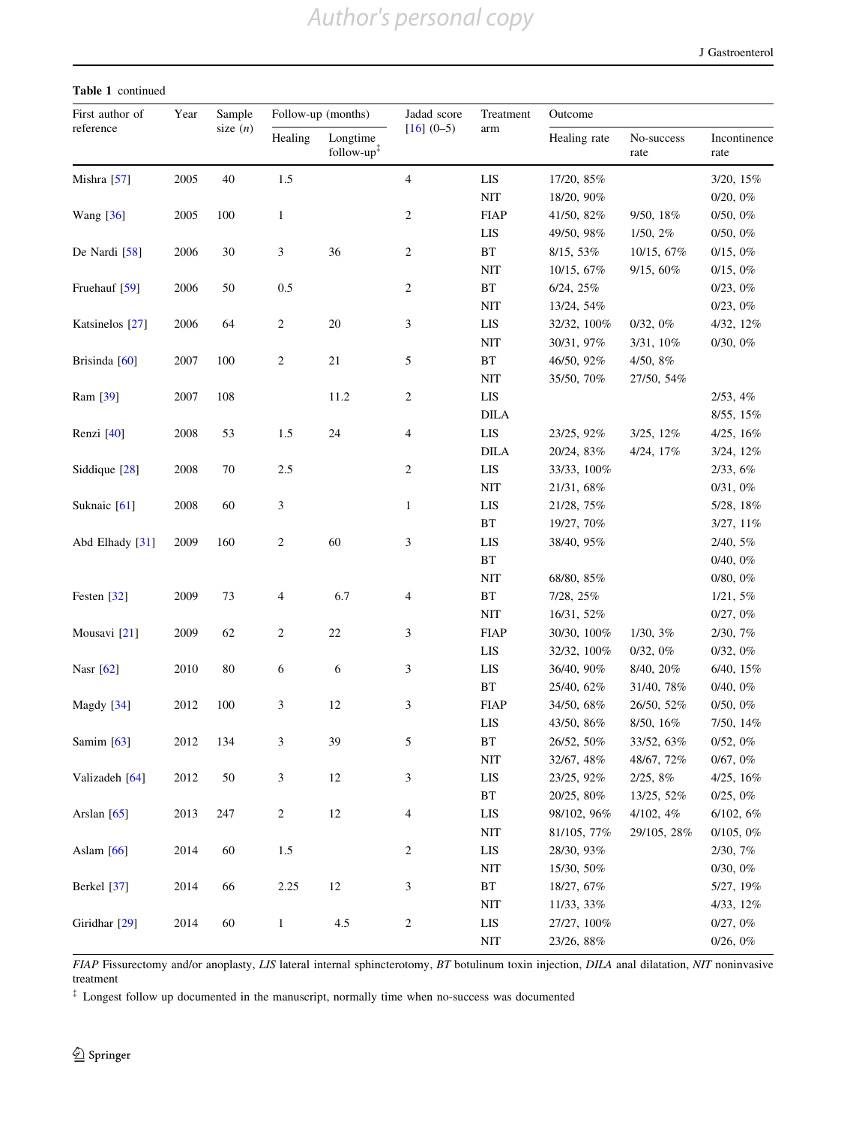# Table 1 continued

| First author of<br>reference | Year | Sample<br>size $(n)$ | Follow-up (months) |                                     | Jadad score             | Treatment           | Outcome      |                    |                      |
|------------------------------|------|----------------------|--------------------|-------------------------------------|-------------------------|---------------------|--------------|--------------------|----------------------|
|                              |      |                      | Healing            | Longtime<br>follow- $up^{\ddagger}$ | $[16] (0-5)$            | arm                 | Healing rate | No-success<br>rate | Incontinence<br>rate |
| Mishra [57]                  | 2005 | 40                   | 1.5                |                                     | $\overline{4}$          | LIS                 | 17/20, 85%   |                    | 3/20, 15%            |
|                              |      |                      |                    |                                     |                         | <b>NIT</b>          | 18/20, 90%   |                    | 0/20, 0%             |
| Wang $[36]$                  | 2005 | 100                  | $\mathbf{1}$       |                                     | $\overline{c}$          | <b>FIAP</b>         | 41/50, 82%   | 9/50, 18%          | 0/50, 0%             |
|                              |      |                      |                    |                                     |                         | LIS                 | 49/50, 98%   | 1/50, 2%           | 0/50, 0%             |
| De Nardi [58]                | 2006 | 30                   | 3                  | 36                                  | $\overline{c}$          | BT                  | 8/15, 53%    | 10/15, 67%         | 0/15, 0%             |
|                              |      |                      |                    |                                     |                         | <b>NIT</b>          | 10/15, 67%   | 9/15, 60%          | 0/15, 0%             |
| Fruehauf [59]                | 2006 | 50                   | 0.5                |                                     | $\overline{2}$          | $\operatorname{BT}$ | 6/24, 25%    |                    | 0/23, 0%             |
|                              |      |                      |                    |                                     |                         | <b>NIT</b>          | 13/24, 54%   |                    | 0/23, 0%             |
| Katsinelos [27]              | 2006 | 64                   | 2                  | $20\,$                              | 3                       | LIS                 | 32/32, 100%  | 0/32, 0%           | 4/32, 12%            |
|                              |      |                      |                    |                                     |                         | <b>NIT</b>          | 30/31, 97%   | 3/31, 10%          | $0/30, 0\%$          |
| Brisinda [60]                | 2007 | 100                  | $\sqrt{2}$         | 21                                  | 5                       | BT                  | 46/50, 92%   | 4/50, 8%           |                      |
|                              |      |                      |                    |                                     |                         | <b>NIT</b>          | 35/50, 70%   | 27/50, 54%         |                      |
| Ram [39]                     | 2007 | 108                  |                    | 11.2                                | $\sqrt{2}$              | LIS                 |              |                    | 2/53, 4%             |
|                              |      |                      |                    |                                     |                         | <b>DILA</b>         |              |                    | 8/55, 15%            |
| Renzi [40]                   | 2008 | 53                   | 1.5                | 24                                  | 4                       | LIS                 | 23/25, 92%   | 3/25, 12%          | 4/25, 16%            |
|                              |      |                      |                    |                                     |                         | <b>DILA</b>         | 20/24, 83%   | 4/24, 17%          | 3/24, 12%            |
| Siddique [28]                | 2008 | 70                   | 2.5                |                                     | $\sqrt{2}$              | LIS                 | 33/33, 100%  |                    | 2/33, 6%             |
|                              |      |                      |                    |                                     |                         | <b>NIT</b>          | 21/31, 68%   |                    | 0/31, 0%             |
| Suknaic [61]                 | 2008 | 60                   | 3                  |                                     | $\mathbf{1}$            | LIS                 | 21/28, 75%   |                    | 5/28, 18%            |
|                              |      |                      |                    |                                     |                         | BT                  | 19/27, 70%   |                    | 3/27, 11%            |
| Abd Elhady [31]              | 2009 | 160                  | $\overline{c}$     | 60                                  | 3                       | LIS                 | 38/40, 95%   |                    | 2/40, 5%             |
|                              |      |                      |                    |                                     |                         | BT                  |              |                    | $0/40, 0\%$          |
|                              |      |                      |                    |                                     |                         | <b>NIT</b>          | 68/80, 85%   |                    | $0/80, 0\%$          |
| Festen [32]                  | 2009 | 73                   | 4                  | 6.7                                 | 4                       | $\operatorname{BT}$ | 7/28, 25%    |                    | 1/21, 5%             |
|                              |      |                      |                    |                                     |                         | <b>NIT</b>          | 16/31, 52%   |                    | 0/27, 0%             |
| Mousavi <sup>[21]</sup>      | 2009 | 62                   | $\overline{c}$     | 22                                  | 3                       | <b>FIAP</b>         | 30/30, 100%  | 1/30, 3%           | 2/30, 7%             |
|                              |      |                      |                    |                                     |                         | LIS                 | 32/32, 100%  | 0/32,0%            | 0/32,0%              |
| Nasr $[62]$                  | 2010 | 80                   | 6                  | 6                                   | 3                       | LIS                 | 36/40, 90%   | 8/40, 20%          | 6/40, 15%            |
|                              |      |                      |                    |                                     |                         | BT                  | 25/40, 62%   | 31/40, 78%         | $0/40, 0\%$          |
| Magdy $[34]$                 | 2012 | 100                  | 3                  | 12                                  | 3                       | <b>FIAP</b>         | 34/50, 68%   | 26/50, 52%         | 0/50, 0%             |
|                              |      |                      |                    |                                     |                         | LIS                 | 43/50, 86%   | 8/50, 16%          | 7/50, 14%            |
| Samim $[63]$                 | 2012 | 134                  | 3                  | 39                                  | 5                       | <b>BT</b>           | 26/52, 50%   | 33/52, 63%         | 0/52, 0%             |
|                              |      |                      |                    |                                     |                         | <b>NIT</b>          | 32/67, 48%   | 48/67, 72%         | 0/67, 0%             |
| Valizadeh [64]               | 2012 | $50\,$               | 3                  | $12\,$                              | 3                       | LIS                 | 23/25, 92%   | 2/25, 8%           | 4/25, 16%            |
|                              |      |                      |                    |                                     |                         | BT                  | 20/25, 80%   | 13/25, 52%         | 0/25, 0%             |
| Arslan $[65]$                | 2013 | 247                  | $\sqrt{2}$         | 12                                  | $\overline{4}$          | LIS                 | 98/102, 96%  | 4/102, 4%          | 6/102, 6%            |
|                              |      |                      |                    |                                     |                         | <b>NIT</b>          | 81/105, 77%  | 29/105, 28%        | 0/105, 0%            |
| Aslam $[66]$                 | 2014 | 60                   | 1.5                |                                     | $\overline{\mathbf{c}}$ | ${\rm LIS}$         | 28/30, 93%   |                    | 2/30, 7%             |
|                              |      |                      |                    |                                     |                         | <b>NIT</b>          | 15/30, 50%   |                    | $0/30, 0\%$          |
| Berkel [37]                  | 2014 | 66                   | 2.25               | $12\,$                              | 3                       | $\operatorname{BT}$ | 18/27, 67%   |                    | 5/27, 19%            |
|                              |      |                      |                    |                                     |                         | <b>NIT</b>          | 11/33, 33%   |                    | 4/33, 12%            |
| Giridhar <sup>[29]</sup>     | 2014 | 60                   | $\mathbf{1}$       | 4.5                                 | $\sqrt{2}$              | LIS                 | 27/27, 100%  |                    | $0/27, 0\%$          |
|                              |      |                      |                    |                                     |                         | <b>NIT</b>          | 23/26, 88%   |                    | 0/26, 0%             |

FIAP Fissurectomy and/or anoplasty, LIS lateral internal sphincterotomy, BT botulinum toxin injection, DILA anal dilatation, NIT noninvasive treatment

- Longest follow up documented in the manuscript, normally time when no-success was documented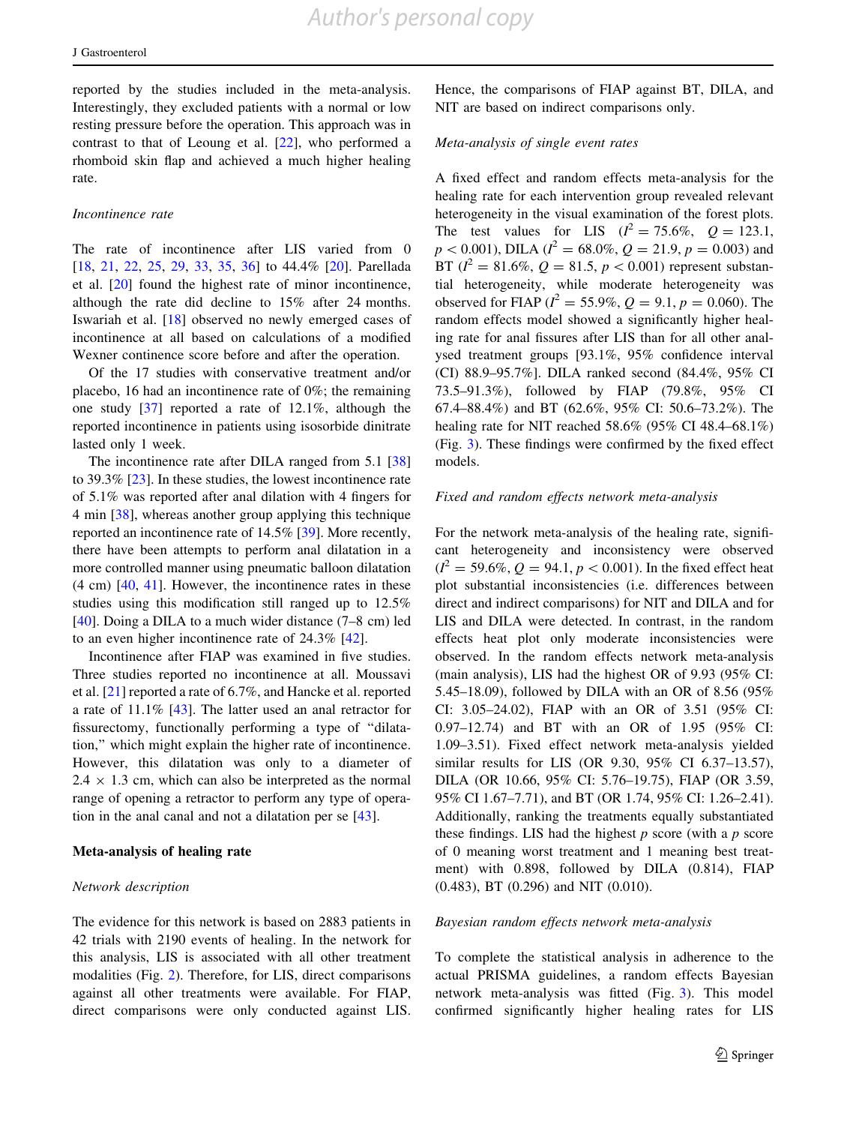reported by the studies included in the meta-analysis. Interestingly, they excluded patients with a normal or low resting pressure before the operation. This approach was in contrast to that of Leoung et al. [\[22](#page-11-0)], who performed a rhomboid skin flap and achieved a much higher healing rate.

#### Incontinence rate

The rate of incontinence after LIS varied from 0 [\[18](#page-11-0), [21,](#page-11-0) [22](#page-11-0), [25,](#page-11-0) [29](#page-12-0), [33,](#page-12-0) [35](#page-12-0), [36\]](#page-12-0) to 44.4% [[20\]](#page-11-0). Parellada et al. [\[20](#page-11-0)] found the highest rate of minor incontinence, although the rate did decline to 15% after 24 months. Iswariah et al. [[18\]](#page-11-0) observed no newly emerged cases of incontinence at all based on calculations of a modified Wexner continence score before and after the operation.

Of the 17 studies with conservative treatment and/or placebo, 16 had an incontinence rate of 0%; the remaining one study [\[37](#page-12-0)] reported a rate of 12.1%, although the reported incontinence in patients using isosorbide dinitrate lasted only 1 week.

The incontinence rate after DILA ranged from 5.1 [[38\]](#page-12-0) to 39.3% [[23\]](#page-11-0). In these studies, the lowest incontinence rate of 5.1% was reported after anal dilation with 4 fingers for 4 min [\[38](#page-12-0)], whereas another group applying this technique reported an incontinence rate of 14.5% [\[39](#page-12-0)]. More recently, there have been attempts to perform anal dilatation in a more controlled manner using pneumatic balloon dilatation (4 cm) [\[40](#page-12-0), [41](#page-12-0)]. However, the incontinence rates in these studies using this modification still ranged up to 12.5% [\[40](#page-12-0)]. Doing a DILA to a much wider distance (7–8 cm) led to an even higher incontinence rate of 24.3% [\[42](#page-12-0)].

Incontinence after FIAP was examined in five studies. Three studies reported no incontinence at all. Moussavi et al. [\[21](#page-11-0)] reported a rate of 6.7%, and Hancke et al. reported a rate of 11.1% [\[43](#page-12-0)]. The latter used an anal retractor for fissurectomy, functionally performing a type of ''dilatation,'' which might explain the higher rate of incontinence. However, this dilatation was only to a diameter of  $2.4 \times 1.3$  cm, which can also be interpreted as the normal range of opening a retractor to perform any type of operation in the anal canal and not a dilatation per se [[43\]](#page-12-0).

#### Meta-analysis of healing rate

#### Network description

The evidence for this network is based on 2883 patients in 42 trials with 2190 events of healing. In the network for this analysis, LIS is associated with all other treatment modalities (Fig. [2](#page-7-0)). Therefore, for LIS, direct comparisons against all other treatments were available. For FIAP, direct comparisons were only conducted against LIS.

Hence, the comparisons of FIAP against BT, DILA, and NIT are based on indirect comparisons only.

#### Meta-analysis of single event rates

A fixed effect and random effects meta-analysis for the healing rate for each intervention group revealed relevant heterogeneity in the visual examination of the forest plots. The test values for LIS  $(l^2 = 75.6\%, Q = 123.1,$  $p < 0.001$ ), DILA ( $I^2 = 68.0\%$ ,  $Q = 21.9$ ,  $p = 0.003$ ) and BT ( $I^2 = 81.6\%, Q = 81.5, p < 0.001$ ) represent substantial heterogeneity, while moderate heterogeneity was observed for FIAP ( $l^2 = 55.9\%, Q = 9.1, p = 0.060$ ). The random effects model showed a significantly higher healing rate for anal fissures after LIS than for all other analysed treatment groups [93.1%, 95% confidence interval (CI) 88.9–95.7%]. DILA ranked second (84.4%, 95% CI 73.5–91.3%), followed by FIAP (79.8%, 95% CI 67.4–88.4%) and BT (62.6%, 95% CI: 50.6–73.2%). The healing rate for NIT reached 58.6% (95% CI 48.4–68.1%) (Fig. [3\)](#page-8-0). These findings were confirmed by the fixed effect models.

#### Fixed and random effects network meta-analysis

For the network meta-analysis of the healing rate, significant heterogeneity and inconsistency were observed  $(I^2 = 59.6\%, Q = 94.1, p < 0.001)$ . In the fixed effect heat plot substantial inconsistencies (i.e. differences between direct and indirect comparisons) for NIT and DILA and for LIS and DILA were detected. In contrast, in the random effects heat plot only moderate inconsistencies were observed. In the random effects network meta-analysis (main analysis), LIS had the highest OR of 9.93 (95% CI: 5.45–18.09), followed by DILA with an OR of 8.56 (95% CI: 3.05–24.02), FIAP with an OR of 3.51 (95% CI: 0.97–12.74) and BT with an OR of 1.95 (95% CI: 1.09–3.51). Fixed effect network meta-analysis yielded similar results for LIS (OR 9.30, 95% CI 6.37–13.57), DILA (OR 10.66, 95% CI: 5.76–19.75), FIAP (OR 3.59, 95% CI 1.67–7.71), and BT (OR 1.74, 95% CI: 1.26–2.41). Additionally, ranking the treatments equally substantiated these findings. LIS had the highest  $p$  score (with a  $p$  score of 0 meaning worst treatment and 1 meaning best treatment) with 0.898, followed by DILA (0.814), FIAP (0.483), BT (0.296) and NIT (0.010).

#### Bayesian random effects network meta-analysis

To complete the statistical analysis in adherence to the actual PRISMA guidelines, a random effects Bayesian network meta-analysis was fitted (Fig. [3\)](#page-8-0). This model confirmed significantly higher healing rates for LIS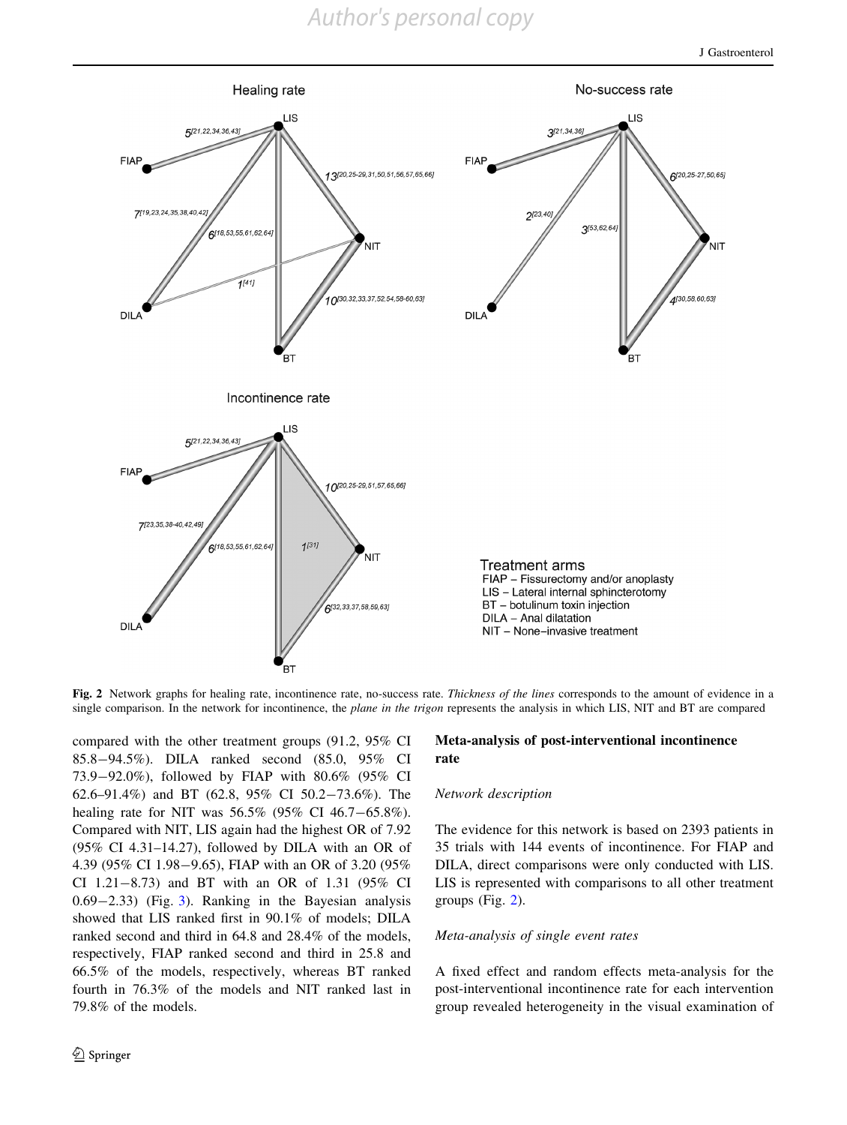<span id="page-7-0"></span>

Fig. 2 Network graphs for healing rate, incontinence rate, no-success rate. Thickness of the lines corresponds to the amount of evidence in a single comparison. In the network for incontinence, the *plane in the trigon* represents the analysis in which LIS, NIT and BT are compared

compared with the other treatment groups (91.2, 95% CI 85.8-94.5%). DILA ranked second (85.0, 95% CI 73.9-92.0%), followed by FIAP with 80.6% (95% CI 62.6–91.4%) and BT (62.8, 95% CI 50.2-73.6%). The healing rate for NIT was 56.5% (95% CI 46.7-65.8%). Compared with NIT, LIS again had the highest OR of 7.92 (95% CI 4.31–14.27), followed by DILA with an OR of 4.39 (95% CI 1.98-9.65), FIAP with an OR of 3.20 (95% CI 1.21-8.73) and BT with an OR of 1.31 (95% CI 0.69-2.33) (Fig. [3\)](#page-8-0). Ranking in the Bayesian analysis showed that LIS ranked first in 90.1% of models; DILA ranked second and third in 64.8 and 28.4% of the models, respectively, FIAP ranked second and third in 25.8 and 66.5% of the models, respectively, whereas BT ranked fourth in 76.3% of the models and NIT ranked last in 79.8% of the models.

# Meta-analysis of post-interventional incontinence rate

#### Network description

The evidence for this network is based on 2393 patients in 35 trials with 144 events of incontinence. For FIAP and DILA, direct comparisons were only conducted with LIS. LIS is represented with comparisons to all other treatment groups (Fig. 2).

# Meta-analysis of single event rates

A fixed effect and random effects meta-analysis for the post-interventional incontinence rate for each intervention group revealed heterogeneity in the visual examination of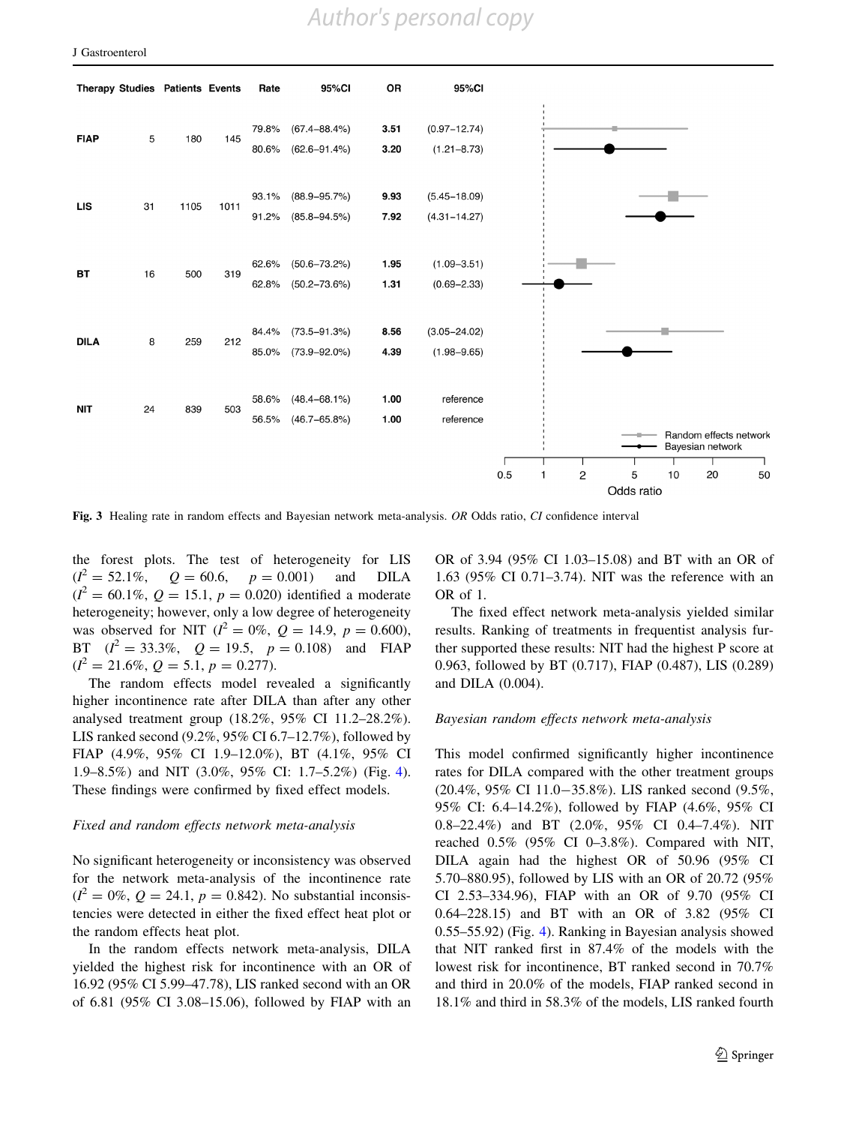<span id="page-8-0"></span>

Fig. 3 Healing rate in random effects and Bayesian network meta-analysis. OR Odds ratio, CI confidence interval

the forest plots. The test of heterogeneity for LIS  $(I^2 = 52.1\%$ .  $Q = 60.6$ ,  $p = 0.001$ ) and DILA  $(I^2 = 60.1\%, Q = 15.1, p = 0.020)$  identified a moderate heterogeneity; however, only a low degree of heterogeneity was observed for NIT ( $l^2 = 0\%$ ,  $Q = 14.9$ ,  $p = 0.600$ ), BT  $(l^2 = 33.3\%, Q = 19.5, p = 0.108)$  and FIAP  $(I^2 = 21.6\%, Q = 5.1, p = 0.277).$ 

The random effects model revealed a significantly higher incontinence rate after DILA than after any other analysed treatment group (18.2%, 95% CI 11.2–28.2%). LIS ranked second (9.2%, 95% CI 6.7–12.7%), followed by FIAP (4.9%, 95% CI 1.9–12.0%), BT (4.1%, 95% CI 1.9–8.5%) and NIT (3.0%, 95% CI: 1.7–5.2%) (Fig. [4](#page-9-0)). These findings were confirmed by fixed effect models.

#### Fixed and random effects network meta-analysis

No significant heterogeneity or inconsistency was observed for the network meta-analysis of the incontinence rate  $(I^2 = 0\%, Q = 24.1, p = 0.842)$ . No substantial inconsistencies were detected in either the fixed effect heat plot or the random effects heat plot.

In the random effects network meta-analysis, DILA yielded the highest risk for incontinence with an OR of 16.92 (95% CI 5.99–47.78), LIS ranked second with an OR of 6.81 (95% CI 3.08–15.06), followed by FIAP with an

OR of 3.94 (95% CI 1.03–15.08) and BT with an OR of 1.63 (95% CI 0.71–3.74). NIT was the reference with an OR of 1.

The fixed effect network meta-analysis yielded similar results. Ranking of treatments in frequentist analysis further supported these results: NIT had the highest P score at 0.963, followed by BT (0.717), FIAP (0.487), LIS (0.289) and DILA (0.004).

#### Bayesian random effects network meta-analysis

This model confirmed significantly higher incontinence rates for DILA compared with the other treatment groups (20.4%, 95% CI 11.0-35.8%). LIS ranked second (9.5%, 95% CI: 6.4–14.2%), followed by FIAP (4.6%, 95% CI 0.8–22.4%) and BT (2.0%, 95% CI 0.4–7.4%). NIT reached 0.5% (95% CI 0–3.8%). Compared with NIT, DILA again had the highest OR of 50.96 (95% CI 5.70–880.95), followed by LIS with an OR of 20.72 (95% CI 2.53–334.96), FIAP with an OR of 9.70 (95% CI 0.64–228.15) and BT with an OR of 3.82 (95% CI 0.55–55.92) (Fig. [4](#page-9-0)). Ranking in Bayesian analysis showed that NIT ranked first in 87.4% of the models with the lowest risk for incontinence, BT ranked second in 70.7% and third in 20.0% of the models, FIAP ranked second in 18.1% and third in 58.3% of the models, LIS ranked fourth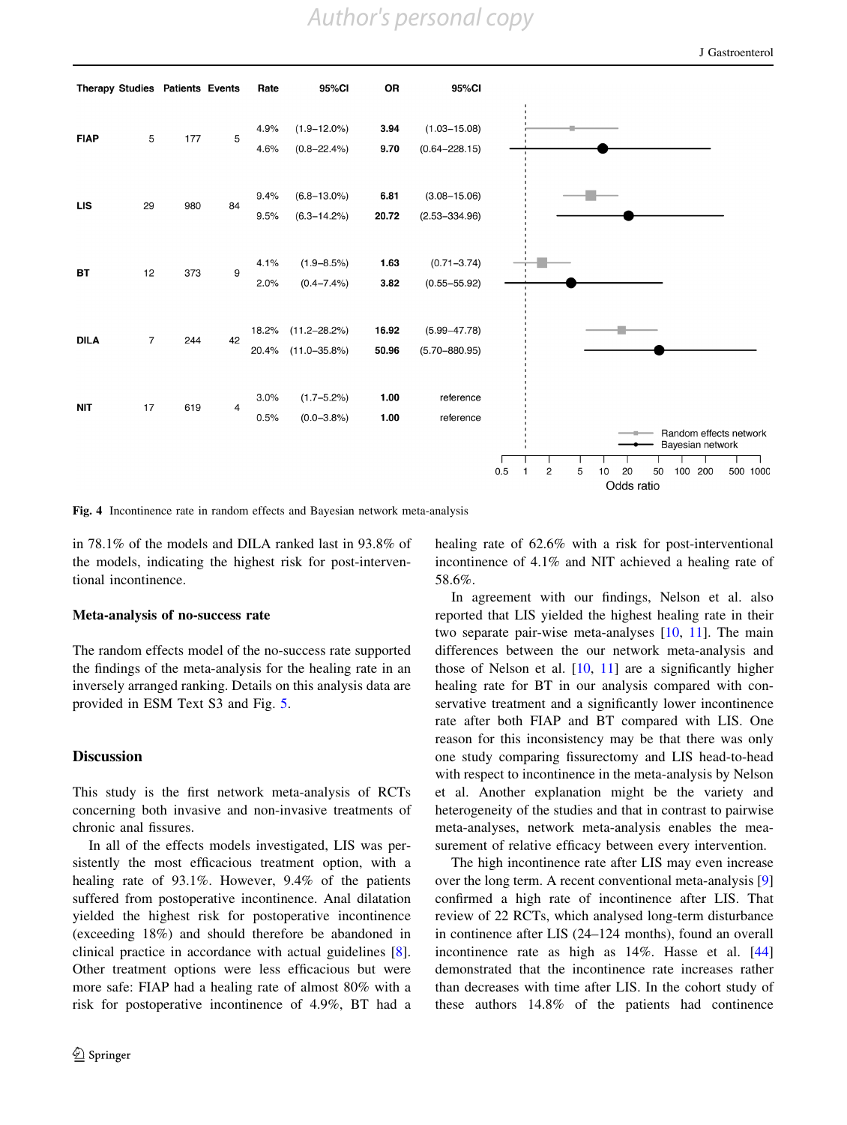<span id="page-9-0"></span>

Fig. 4 Incontinence rate in random effects and Bayesian network meta-analysis

in 78.1% of the models and DILA ranked last in 93.8% of the models, indicating the highest risk for post-interventional incontinence.

#### Meta-analysis of no-success rate

The random effects model of the no-success rate supported the findings of the meta-analysis for the healing rate in an inversely arranged ranking. Details on this analysis data are provided in ESM Text S3 and Fig. [5](#page-10-0).

#### **Discussion**

This study is the first network meta-analysis of RCTs concerning both invasive and non-invasive treatments of chronic anal fissures.

In all of the effects models investigated, LIS was persistently the most efficacious treatment option, with a healing rate of 93.1%. However, 9.4% of the patients suffered from postoperative incontinence. Anal dilatation yielded the highest risk for postoperative incontinence (exceeding 18%) and should therefore be abandoned in clinical practice in accordance with actual guidelines [\[8](#page-11-0)]. Other treatment options were less efficacious but were more safe: FIAP had a healing rate of almost 80% with a risk for postoperative incontinence of 4.9%, BT had a healing rate of 62.6% with a risk for post-interventional incontinence of 4.1% and NIT achieved a healing rate of 58.6%.

In agreement with our findings, Nelson et al. also reported that LIS yielded the highest healing rate in their two separate pair-wise meta-analyses [[10,](#page-11-0) [11](#page-11-0)]. The main differences between the our network meta-analysis and those of Nelson et al. [\[10](#page-11-0), [11](#page-11-0)] are a significantly higher healing rate for BT in our analysis compared with conservative treatment and a significantly lower incontinence rate after both FIAP and BT compared with LIS. One reason for this inconsistency may be that there was only one study comparing fissurectomy and LIS head-to-head with respect to incontinence in the meta-analysis by Nelson et al. Another explanation might be the variety and heterogeneity of the studies and that in contrast to pairwise meta-analyses, network meta-analysis enables the measurement of relative efficacy between every intervention.

The high incontinence rate after LIS may even increase over the long term. A recent conventional meta-analysis [[9\]](#page-11-0) confirmed a high rate of incontinence after LIS. That review of 22 RCTs, which analysed long-term disturbance in continence after LIS (24–124 months), found an overall incontinence rate as high as 14%. Hasse et al. [[44\]](#page-12-0) demonstrated that the incontinence rate increases rather than decreases with time after LIS. In the cohort study of these authors 14.8% of the patients had continence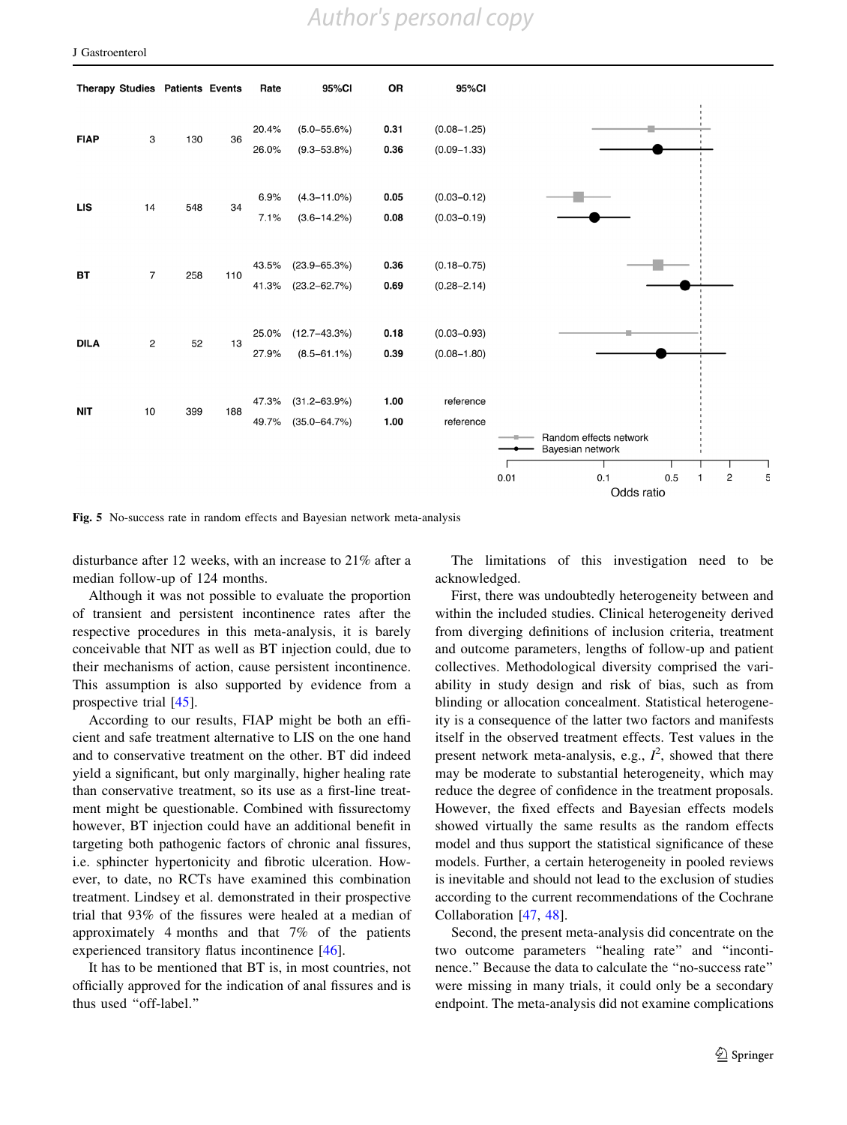<span id="page-10-0"></span>J Gastroenterol



Fig. 5 No-success rate in random effects and Bayesian network meta-analysis

disturbance after 12 weeks, with an increase to 21% after a median follow-up of 124 months.

Although it was not possible to evaluate the proportion of transient and persistent incontinence rates after the respective procedures in this meta-analysis, it is barely conceivable that NIT as well as BT injection could, due to their mechanisms of action, cause persistent incontinence. This assumption is also supported by evidence from a prospective trial [\[45](#page-12-0)].

According to our results, FIAP might be both an efficient and safe treatment alternative to LIS on the one hand and to conservative treatment on the other. BT did indeed yield a significant, but only marginally, higher healing rate than conservative treatment, so its use as a first-line treatment might be questionable. Combined with fissurectomy however, BT injection could have an additional benefit in targeting both pathogenic factors of chronic anal fissures, i.e. sphincter hypertonicity and fibrotic ulceration. However, to date, no RCTs have examined this combination treatment. Lindsey et al. demonstrated in their prospective trial that 93% of the fissures were healed at a median of approximately 4 months and that 7% of the patients experienced transitory flatus incontinence [\[46](#page-12-0)].

It has to be mentioned that BT is, in most countries, not officially approved for the indication of anal fissures and is thus used ''off-label.''

The limitations of this investigation need to be acknowledged.

First, there was undoubtedly heterogeneity between and within the included studies. Clinical heterogeneity derived from diverging definitions of inclusion criteria, treatment and outcome parameters, lengths of follow-up and patient collectives. Methodological diversity comprised the variability in study design and risk of bias, such as from blinding or allocation concealment. Statistical heterogeneity is a consequence of the latter two factors and manifests itself in the observed treatment effects. Test values in the present network meta-analysis, e.g.,  $I^2$ , showed that there may be moderate to substantial heterogeneity, which may reduce the degree of confidence in the treatment proposals. However, the fixed effects and Bayesian effects models showed virtually the same results as the random effects model and thus support the statistical significance of these models. Further, a certain heterogeneity in pooled reviews is inevitable and should not lead to the exclusion of studies according to the current recommendations of the Cochrane Collaboration [[47,](#page-12-0) [48\]](#page-12-0).

Second, the present meta-analysis did concentrate on the two outcome parameters ''healing rate'' and ''incontinence.'' Because the data to calculate the ''no-success rate'' were missing in many trials, it could only be a secondary endpoint. The meta-analysis did not examine complications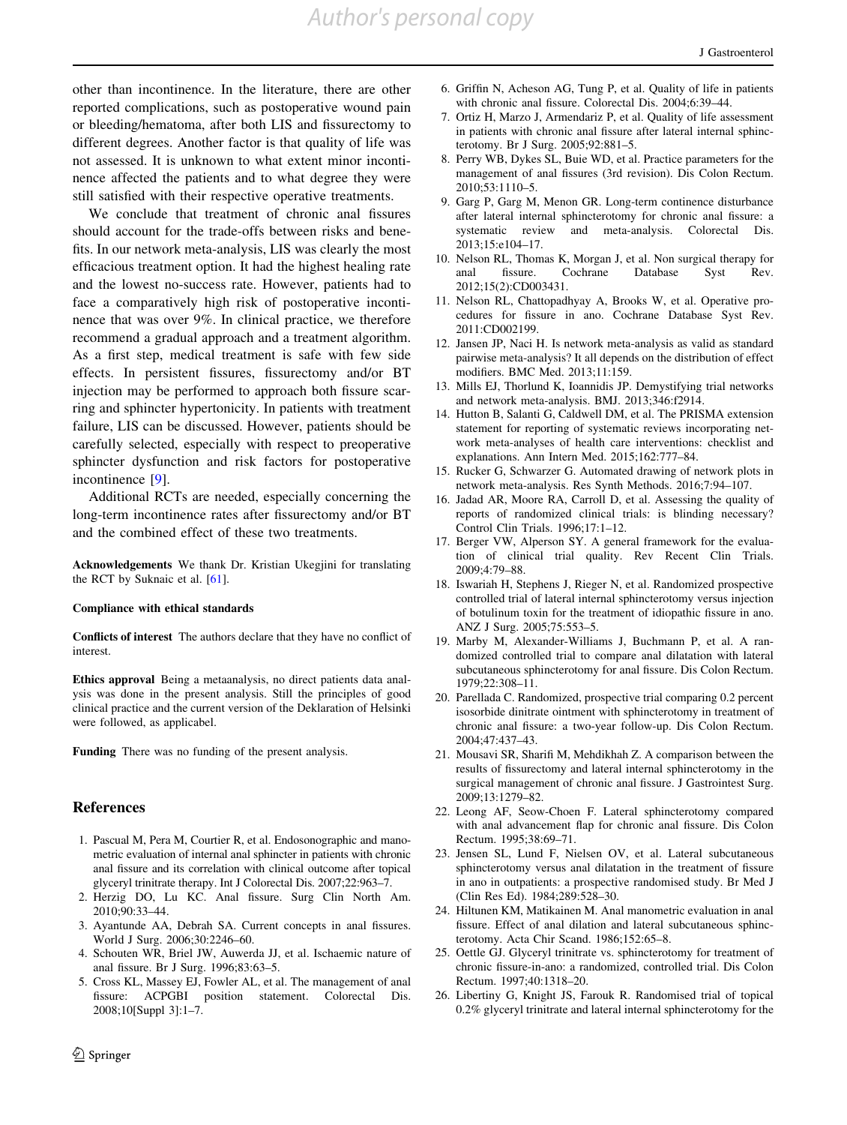<span id="page-11-0"></span>other than incontinence. In the literature, there are other reported complications, such as postoperative wound pain or bleeding/hematoma, after both LIS and fissurectomy to different degrees. Another factor is that quality of life was not assessed. It is unknown to what extent minor incontinence affected the patients and to what degree they were still satisfied with their respective operative treatments.

We conclude that treatment of chronic anal fissures should account for the trade-offs between risks and benefits. In our network meta-analysis, LIS was clearly the most efficacious treatment option. It had the highest healing rate and the lowest no-success rate. However, patients had to face a comparatively high risk of postoperative incontinence that was over 9%. In clinical practice, we therefore recommend a gradual approach and a treatment algorithm. As a first step, medical treatment is safe with few side effects. In persistent fissures, fissurectomy and/or BT injection may be performed to approach both fissure scarring and sphincter hypertonicity. In patients with treatment failure, LIS can be discussed. However, patients should be carefully selected, especially with respect to preoperative sphincter dysfunction and risk factors for postoperative incontinence [9].

Additional RCTs are needed, especially concerning the long-term incontinence rates after fissurectomy and/or BT and the combined effect of these two treatments.

Acknowledgements We thank Dr. Kristian Ukegjini for translating the RCT by Suknaic et al. [[61](#page-12-0)].

#### Compliance with ethical standards

Conflicts of interest The authors declare that they have no conflict of interest.

Ethics approval Being a metaanalysis, no direct patients data analysis was done in the present analysis. Still the principles of good clinical practice and the current version of the Deklaration of Helsinki were followed, as applicabel.

Funding There was no funding of the present analysis.

# References

- 1. Pascual M, Pera M, Courtier R, et al. Endosonographic and manometric evaluation of internal anal sphincter in patients with chronic anal fissure and its correlation with clinical outcome after topical glyceryl trinitrate therapy. Int J Colorectal Dis. 2007;22:963–7.
- 2. Herzig DO, Lu KC. Anal fissure. Surg Clin North Am. 2010;90:33–44.
- 3. Ayantunde AA, Debrah SA. Current concepts in anal fissures. World J Surg. 2006;30:2246–60.
- 4. Schouten WR, Briel JW, Auwerda JJ, et al. Ischaemic nature of anal fissure. Br J Surg. 1996;83:63–5.
- 5. Cross KL, Massey EJ, Fowler AL, et al. The management of anal fissure: ACPGBI position statement. Colorectal Dis. 2008;10[Suppl 3]:1–7.
- $\textcircled{2}$  Springer
- 6. Griffin N, Acheson AG, Tung P, et al. Quality of life in patients with chronic anal fissure. Colorectal Dis. 2004;6:39–44.
- 7. Ortiz H, Marzo J, Armendariz P, et al. Quality of life assessment in patients with chronic anal fissure after lateral internal sphincterotomy. Br J Surg. 2005;92:881–5.
- 8. Perry WB, Dykes SL, Buie WD, et al. Practice parameters for the management of anal fissures (3rd revision). Dis Colon Rectum. 2010;53:1110–5.
- 9. Garg P, Garg M, Menon GR. Long-term continence disturbance after lateral internal sphincterotomy for chronic anal fissure: a systematic review and meta-analysis. Colorectal Dis. 2013;15:e104–17.
- 10. Nelson RL, Thomas K, Morgan J, et al. Non surgical therapy for anal fissure. Cochrane Database Syst Rev. 2012;15(2):CD003431.
- 11. Nelson RL, Chattopadhyay A, Brooks W, et al. Operative procedures for fissure in ano. Cochrane Database Syst Rev. 2011:CD002199.
- 12. Jansen JP, Naci H. Is network meta-analysis as valid as standard pairwise meta-analysis? It all depends on the distribution of effect modifiers. BMC Med. 2013;11:159.
- 13. Mills EJ, Thorlund K, Ioannidis JP. Demystifying trial networks and network meta-analysis. BMJ. 2013;346:f2914.
- 14. Hutton B, Salanti G, Caldwell DM, et al. The PRISMA extension statement for reporting of systematic reviews incorporating network meta-analyses of health care interventions: checklist and explanations. Ann Intern Med. 2015;162:777–84.
- 15. Rucker G, Schwarzer G. Automated drawing of network plots in network meta-analysis. Res Synth Methods. 2016;7:94–107.
- 16. Jadad AR, Moore RA, Carroll D, et al. Assessing the quality of reports of randomized clinical trials: is blinding necessary? Control Clin Trials. 1996;17:1–12.
- 17. Berger VW, Alperson SY. A general framework for the evaluation of clinical trial quality. Rev Recent Clin Trials. 2009;4:79–88.
- 18. Iswariah H, Stephens J, Rieger N, et al. Randomized prospective controlled trial of lateral internal sphincterotomy versus injection of botulinum toxin for the treatment of idiopathic fissure in ano. ANZ J Surg. 2005;75:553–5.
- 19. Marby M, Alexander-Williams J, Buchmann P, et al. A randomized controlled trial to compare anal dilatation with lateral subcutaneous sphincterotomy for anal fissure. Dis Colon Rectum. 1979;22:308–11.
- 20. Parellada C. Randomized, prospective trial comparing 0.2 percent isosorbide dinitrate ointment with sphincterotomy in treatment of chronic anal fissure: a two-year follow-up. Dis Colon Rectum. 2004;47:437–43.
- 21. Mousavi SR, Sharifi M, Mehdikhah Z. A comparison between the results of fissurectomy and lateral internal sphincterotomy in the surgical management of chronic anal fissure. J Gastrointest Surg. 2009;13:1279–82.
- 22. Leong AF, Seow-Choen F. Lateral sphincterotomy compared with anal advancement flap for chronic anal fissure. Dis Colon Rectum. 1995;38:69–71.
- 23. Jensen SL, Lund F, Nielsen OV, et al. Lateral subcutaneous sphincterotomy versus anal dilatation in the treatment of fissure in ano in outpatients: a prospective randomised study. Br Med J (Clin Res Ed). 1984;289:528–30.
- 24. Hiltunen KM, Matikainen M. Anal manometric evaluation in anal fissure. Effect of anal dilation and lateral subcutaneous sphincterotomy. Acta Chir Scand. 1986;152:65–8.
- 25. Oettle GJ. Glyceryl trinitrate vs. sphincterotomy for treatment of chronic fissure-in-ano: a randomized, controlled trial. Dis Colon Rectum. 1997;40:1318–20.
- 26. Libertiny G, Knight JS, Farouk R. Randomised trial of topical 0.2% glyceryl trinitrate and lateral internal sphincterotomy for the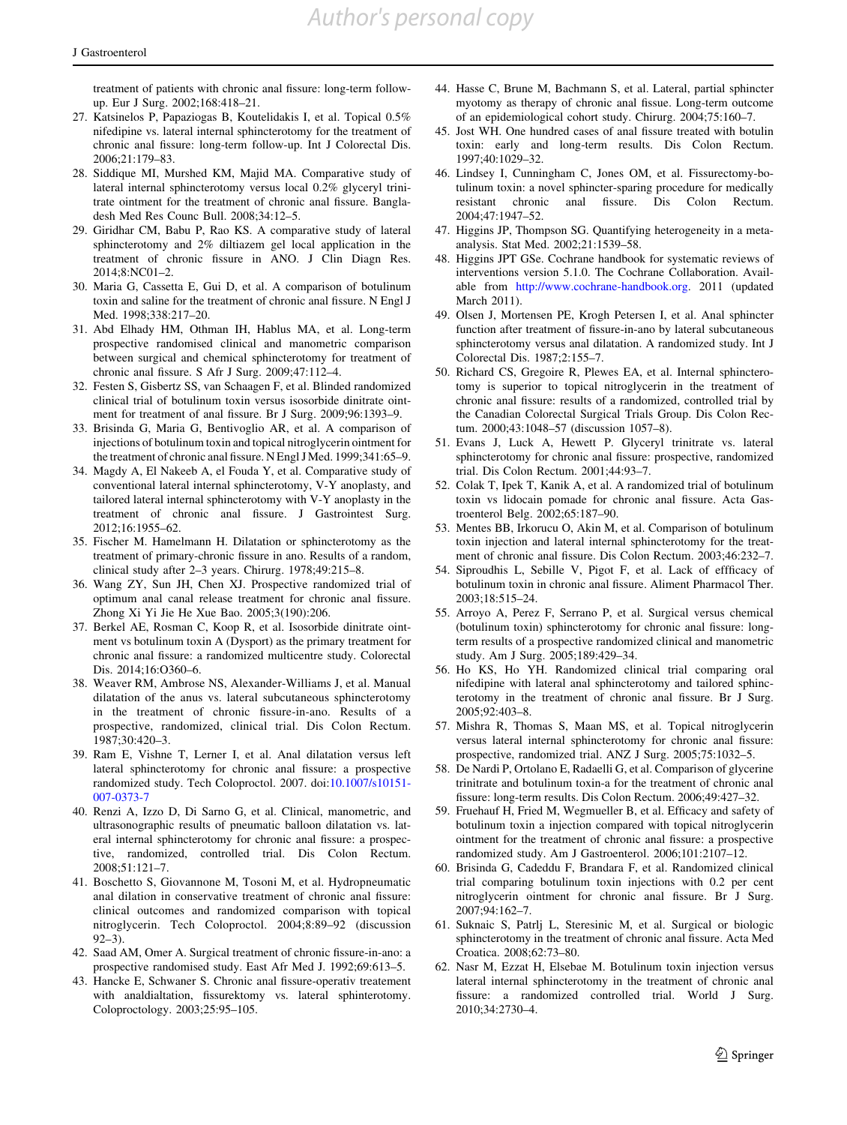<span id="page-12-0"></span>treatment of patients with chronic anal fissure: long-term followup. Eur J Surg. 2002;168:418–21.

- 27. Katsinelos P, Papaziogas B, Koutelidakis I, et al. Topical 0.5% nifedipine vs. lateral internal sphincterotomy for the treatment of chronic anal fissure: long-term follow-up. Int J Colorectal Dis. 2006;21:179–83.
- 28. Siddique MI, Murshed KM, Majid MA. Comparative study of lateral internal sphincterotomy versus local 0.2% glyceryl trinitrate ointment for the treatment of chronic anal fissure. Bangladesh Med Res Counc Bull. 2008;34:12–5.
- 29. Giridhar CM, Babu P, Rao KS. A comparative study of lateral sphincterotomy and 2% diltiazem gel local application in the treatment of chronic fissure in ANO. J Clin Diagn Res. 2014;8:NC01–2.
- 30. Maria G, Cassetta E, Gui D, et al. A comparison of botulinum toxin and saline for the treatment of chronic anal fissure. N Engl J Med. 1998;338:217–20.
- 31. Abd Elhady HM, Othman IH, Hablus MA, et al. Long-term prospective randomised clinical and manometric comparison between surgical and chemical sphincterotomy for treatment of chronic anal fissure. S Afr J Surg. 2009;47:112–4.
- 32. Festen S, Gisbertz SS, van Schaagen F, et al. Blinded randomized clinical trial of botulinum toxin versus isosorbide dinitrate ointment for treatment of anal fissure. Br J Surg. 2009;96:1393–9.
- 33. Brisinda G, Maria G, Bentivoglio AR, et al. A comparison of injections of botulinum toxin and topical nitroglycerin ointment for the treatment of chronic anal fissure. N Engl J Med. 1999;341:65–9.
- 34. Magdy A, El Nakeeb A, el Fouda Y, et al. Comparative study of conventional lateral internal sphincterotomy, V-Y anoplasty, and tailored lateral internal sphincterotomy with V-Y anoplasty in the treatment of chronic anal fissure. J Gastrointest Surg. 2012;16:1955–62.
- 35. Fischer M. Hamelmann H. Dilatation or sphincterotomy as the treatment of primary-chronic fissure in ano. Results of a random, clinical study after 2–3 years. Chirurg. 1978;49:215–8.
- 36. Wang ZY, Sun JH, Chen XJ. Prospective randomized trial of optimum anal canal release treatment for chronic anal fissure. Zhong Xi Yi Jie He Xue Bao. 2005;3(190):206.
- 37. Berkel AE, Rosman C, Koop R, et al. Isosorbide dinitrate ointment vs botulinum toxin A (Dysport) as the primary treatment for chronic anal fissure: a randomized multicentre study. Colorectal Dis. 2014;16:O360–6.
- 38. Weaver RM, Ambrose NS, Alexander-Williams J, et al. Manual dilatation of the anus vs. lateral subcutaneous sphincterotomy in the treatment of chronic fissure-in-ano. Results of a prospective, randomized, clinical trial. Dis Colon Rectum. 1987;30:420–3.
- 39. Ram E, Vishne T, Lerner I, et al. Anal dilatation versus left lateral sphincterotomy for chronic anal fissure: a prospective randomized study. Tech Coloproctol. 2007. doi:[10.1007/s10151-](http://dx.doi.org/10.1007/s10151-007-0373-7) [007-0373-7](http://dx.doi.org/10.1007/s10151-007-0373-7)
- 40. Renzi A, Izzo D, Di Sarno G, et al. Clinical, manometric, and ultrasonographic results of pneumatic balloon dilatation vs. lateral internal sphincterotomy for chronic anal fissure: a prospective, randomized, controlled trial. Dis Colon Rectum. 2008;51:121–7.
- 41. Boschetto S, Giovannone M, Tosoni M, et al. Hydropneumatic anal dilation in conservative treatment of chronic anal fissure: clinical outcomes and randomized comparison with topical nitroglycerin. Tech Coloproctol. 2004;8:89–92 (discussion  $92 - 3$ ).
- 42. Saad AM, Omer A. Surgical treatment of chronic fissure-in-ano: a prospective randomised study. East Afr Med J. 1992;69:613–5.
- 43. Hancke E, Schwaner S. Chronic anal fissure-operativ treatement with analdialtation, fissurektomy vs. lateral sphinterotomy. Coloproctology. 2003;25:95–105.
- 44. Hasse C, Brune M, Bachmann S, et al. Lateral, partial sphincter myotomy as therapy of chronic anal fissue. Long-term outcome of an epidemiological cohort study. Chirurg. 2004;75:160–7.
- 45. Jost WH. One hundred cases of anal fissure treated with botulin toxin: early and long-term results. Dis Colon Rectum. 1997;40:1029–32.
- 46. Lindsey I, Cunningham C, Jones OM, et al. Fissurectomy-botulinum toxin: a novel sphincter-sparing procedure for medically resistant chronic anal fissure. Dis Colon Rectum. 2004;47:1947–52.
- 47. Higgins JP, Thompson SG. Quantifying heterogeneity in a metaanalysis. Stat Med. 2002;21:1539–58.
- 48. Higgins JPT GSe. Cochrane handbook for systematic reviews of interventions version 5.1.0. The Cochrane Collaboration. Available from [http://www.cochrane-handbook.org.](http://www.cochrane-handbook.org) 2011 (updated March 2011).
- 49. Olsen J, Mortensen PE, Krogh Petersen I, et al. Anal sphincter function after treatment of fissure-in-ano by lateral subcutaneous sphincterotomy versus anal dilatation. A randomized study. Int J Colorectal Dis. 1987;2:155–7.
- 50. Richard CS, Gregoire R, Plewes EA, et al. Internal sphincterotomy is superior to topical nitroglycerin in the treatment of chronic anal fissure: results of a randomized, controlled trial by the Canadian Colorectal Surgical Trials Group. Dis Colon Rectum. 2000;43:1048–57 (discussion 1057–8).
- 51. Evans J, Luck A, Hewett P. Glyceryl trinitrate vs. lateral sphincterotomy for chronic anal fissure: prospective, randomized trial. Dis Colon Rectum. 2001;44:93–7.
- 52. Colak T, Ipek T, Kanik A, et al. A randomized trial of botulinum toxin vs lidocain pomade for chronic anal fissure. Acta Gastroenterol Belg. 2002;65:187–90.
- 53. Mentes BB, Irkorucu O, Akin M, et al. Comparison of botulinum toxin injection and lateral internal sphincterotomy for the treatment of chronic anal fissure. Dis Colon Rectum. 2003;46:232–7.
- 54. Siproudhis L, Sebille V, Pigot F, et al. Lack of effficacy of botulinum toxin in chronic anal fissure. Aliment Pharmacol Ther. 2003;18:515–24.
- 55. Arroyo A, Perez F, Serrano P, et al. Surgical versus chemical (botulinum toxin) sphincterotomy for chronic anal fissure: longterm results of a prospective randomized clinical and manometric study. Am J Surg. 2005;189:429–34.
- 56. Ho KS, Ho YH. Randomized clinical trial comparing oral nifedipine with lateral anal sphincterotomy and tailored sphincterotomy in the treatment of chronic anal fissure. Br J Surg. 2005;92:403–8.
- 57. Mishra R, Thomas S, Maan MS, et al. Topical nitroglycerin versus lateral internal sphincterotomy for chronic anal fissure: prospective, randomized trial. ANZ J Surg. 2005;75:1032–5.
- 58. De Nardi P, Ortolano E, Radaelli G, et al. Comparison of glycerine trinitrate and botulinum toxin-a for the treatment of chronic anal fissure: long-term results. Dis Colon Rectum. 2006;49:427–32.
- 59. Fruehauf H, Fried M, Wegmueller B, et al. Efficacy and safety of botulinum toxin a injection compared with topical nitroglycerin ointment for the treatment of chronic anal fissure: a prospective randomized study. Am J Gastroenterol. 2006;101:2107–12.
- 60. Brisinda G, Cadeddu F, Brandara F, et al. Randomized clinical trial comparing botulinum toxin injections with 0.2 per cent nitroglycerin ointment for chronic anal fissure. Br J Surg. 2007;94:162–7.
- 61. Suknaic S, Patrlj L, Steresinic M, et al. Surgical or biologic sphincterotomy in the treatment of chronic anal fissure. Acta Med Croatica. 2008;62:73–80.
- 62. Nasr M, Ezzat H, Elsebae M. Botulinum toxin injection versus lateral internal sphincterotomy in the treatment of chronic anal fissure: a randomized controlled trial. World J Surg. 2010;34:2730–4.